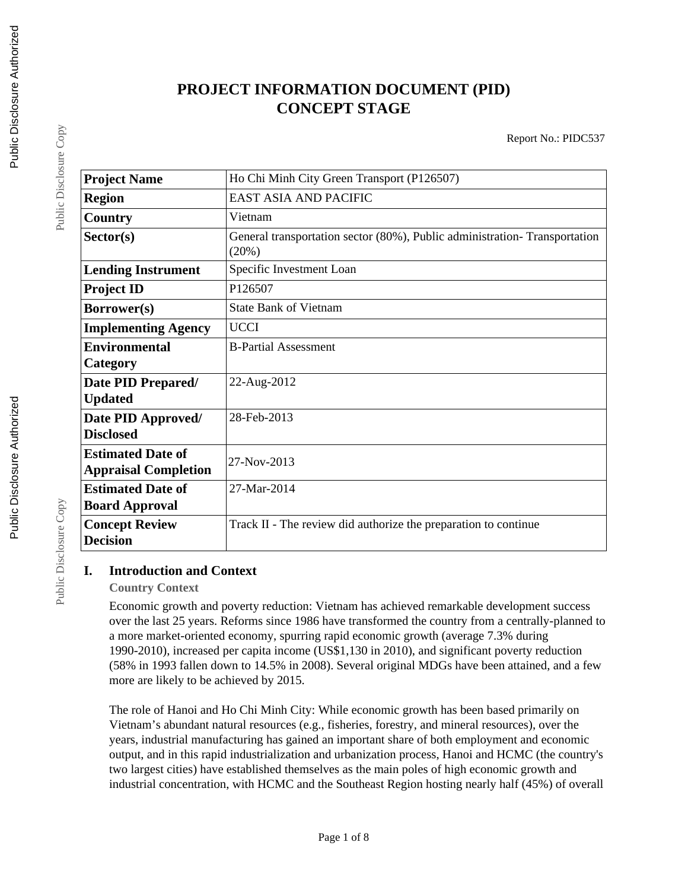# **PROJECT INFORMATION DOCUMENT (PID) CONCEPT STAGE**

Report No.: PIDC537

| <b>Project Name</b>         | Ho Chi Minh City Green Transport (P126507)                                         |
|-----------------------------|------------------------------------------------------------------------------------|
| <b>Region</b>               | EAST ASIA AND PACIFIC                                                              |
| Country                     | Vietnam                                                                            |
| Sector(s)                   | General transportation sector (80%), Public administration-Transportation<br>(20%) |
| <b>Lending Instrument</b>   | Specific Investment Loan                                                           |
| <b>Project ID</b>           | P126507                                                                            |
| <b>Borrower(s)</b>          | <b>State Bank of Vietnam</b>                                                       |
| <b>Implementing Agency</b>  | <b>UCCI</b>                                                                        |
| <b>Environmental</b>        | <b>B-Partial Assessment</b>                                                        |
| Category                    |                                                                                    |
| Date PID Prepared/          | 22-Aug-2012                                                                        |
| <b>Updated</b>              |                                                                                    |
| Date PID Approved/          | 28-Feb-2013                                                                        |
| <b>Disclosed</b>            |                                                                                    |
| <b>Estimated Date of</b>    | 27-Nov-2013                                                                        |
| <b>Appraisal Completion</b> |                                                                                    |
| <b>Estimated Date of</b>    | 27-Mar-2014                                                                        |
| <b>Board Approval</b>       |                                                                                    |
| <b>Concept Review</b>       | Track II - The review did authorize the preparation to continue                    |
| <b>Decision</b>             |                                                                                    |

## **I. Introduction and Context**

#### **Country Context**

Economic growth and poverty reduction: Vietnam has achieved remarkable development success over the last 25 years. Reforms since 1986 have transformed the country from a centrally-planned to a more market-oriented economy, spurring rapid economic growth (average 7.3% during 1990-2010), increased per capita income (US\$1,130 in 2010), and significant poverty reduction (58% in 1993 fallen down to 14.5% in 2008). Several original MDGs have been attained, and a few more are likely to be achieved by 2015.

The role of Hanoi and Ho Chi Minh City: While economic growth has been based primarily on Vietnam's abundant natural resources (e.g., fisheries, forestry, and mineral resources), over the years, industrial manufacturing has gained an important share of both employment and economic output, and in this rapid industrialization and urbanization process, Hanoi and HCMC (the country's two largest cities) have established themselves as the main poles of high economic growth and industrial concentration, with HCMC and the Southeast Region hosting nearly half (45%) of overall

Public Disclosure Copy

Public Disclosure Copy

Public Disclosure Copy

Public Disclosure Copy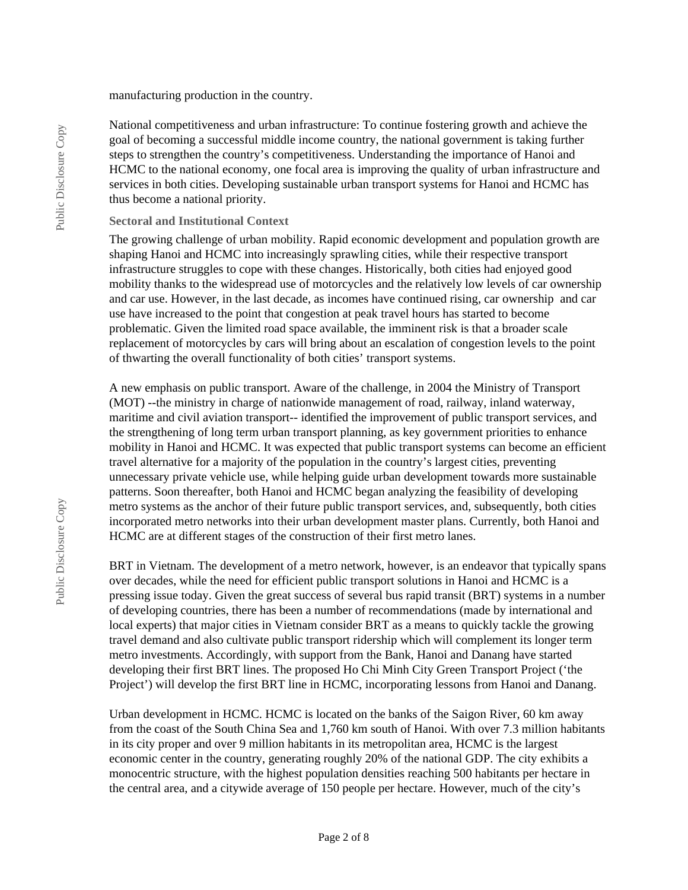manufacturing production in the country.

National competitiveness and urban infrastructure: To continue fostering growth and achieve the goal of becoming a successful middle income country, the national government is taking further steps to strengthen the country's competitiveness. Understanding the importance of Hanoi and HCMC to the national economy, one focal area is improving the quality of urban infrastructure and services in both cities. Developing sustainable urban transport systems for Hanoi and HCMC has thus become a national priority.

#### **Sectoral and Institutional Context**

The growing challenge of urban mobility. Rapid economic development and population growth are shaping Hanoi and HCMC into increasingly sprawling cities, while their respective transport infrastructure struggles to cope with these changes. Historically, both cities had enjoyed good mobility thanks to the widespread use of motorcycles and the relatively low levels of car ownership and car use. However, in the last decade, as incomes have continued rising, car ownership and car use have increased to the point that congestion at peak travel hours has started to become problematic. Given the limited road space available, the imminent risk is that a broader scale replacement of motorcycles by cars will bring about an escalation of congestion levels to the point of thwarting the overall functionality of both cities' transport systems.

A new emphasis on public transport. Aware of the challenge, in 2004 the Ministry of Transport (MOT) --the ministry in charge of nationwide management of road, railway, inland waterway, maritime and civil aviation transport-- identified the improvement of public transport services, and the strengthening of long term urban transport planning, as key government priorities to enhance mobility in Hanoi and HCMC. It was expected that public transport systems can become an efficient travel alternative for a majority of the population in the country's largest cities, preventing unnecessary private vehicle use, while helping guide urban development towards more sustainable patterns. Soon thereafter, both Hanoi and HCMC began analyzing the feasibility of developing metro systems as the anchor of their future public transport services, and, subsequently, both cities incorporated metro networks into their urban development master plans. Currently, both Hanoi and HCMC are at different stages of the construction of their first metro lanes.

BRT in Vietnam. The development of a metro network, however, is an endeavor that typically spans over decades, while the need for efficient public transport solutions in Hanoi and HCMC is a pressing issue today. Given the great success of several bus rapid transit (BRT) systems in a number of developing countries, there has been a number of recommendations (made by international and local experts) that major cities in Vietnam consider BRT as a means to quickly tackle the growing travel demand and also cultivate public transport ridership which will complement its longer term metro investments. Accordingly, with support from the Bank, Hanoi and Danang have started developing their first BRT lines. The proposed Ho Chi Minh City Green Transport Project ('the Project') will develop the first BRT line in HCMC, incorporating lessons from Hanoi and Danang.

Urban development in HCMC. HCMC is located on the banks of the Saigon River, 60 km away from the coast of the South China Sea and 1,760 km south of Hanoi. With over 7.3 million habitants in its city proper and over 9 million habitants in its metropolitan area, HCMC is the largest economic center in the country, generating roughly 20% of the national GDP. The city exhibits a monocentric structure, with the highest population densities reaching 500 habitants per hectare in the central area, and a citywide average of 150 people per hectare. However, much of the city's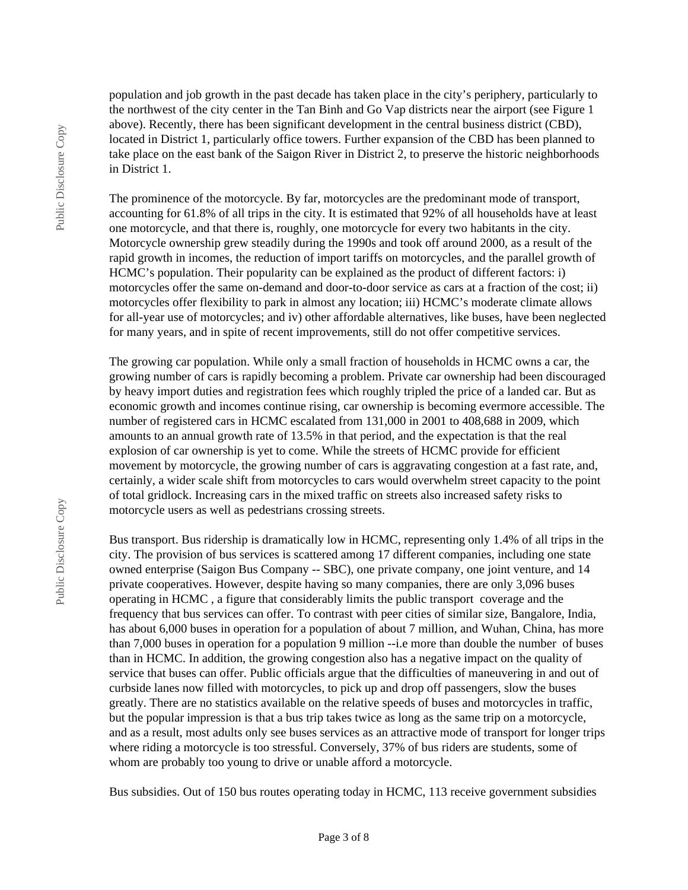population and job growth in the past decade has taken place in the city's periphery, particularly to the northwest of the city center in the Tan Binh and Go Vap districts near the airport (see Figure 1 above). Recently, there has been significant development in the central business district (CBD), located in District 1, particularly office towers. Further expansion of the CBD has been planned to take place on the east bank of the Saigon River in District 2, to preserve the historic neighborhoods in District 1.

The prominence of the motorcycle. By far, motorcycles are the predominant mode of transport, accounting for 61.8% of all trips in the city. It is estimated that 92% of all households have at least one motorcycle, and that there is, roughly, one motorcycle for every two habitants in the city. Motorcycle ownership grew steadily during the 1990s and took off around 2000, as a result of the rapid growth in incomes, the reduction of import tariffs on motorcycles, and the parallel growth of HCMC's population. Their popularity can be explained as the product of different factors: i) motorcycles offer the same on-demand and door-to-door service as cars at a fraction of the cost; ii) motorcycles offer flexibility to park in almost any location; iii) HCMC's moderate climate allows for all-year use of motorcycles; and iv) other affordable alternatives, like buses, have been neglected for many years, and in spite of recent improvements, still do not offer competitive services.

The growing car population. While only a small fraction of households in HCMC owns a car, the growing number of cars is rapidly becoming a problem. Private car ownership had been discouraged by heavy import duties and registration fees which roughly tripled the price of a landed car. But as economic growth and incomes continue rising, car ownership is becoming evermore accessible. The number of registered cars in HCMC escalated from 131,000 in 2001 to 408,688 in 2009, which amounts to an annual growth rate of 13.5% in that period, and the expectation is that the real explosion of car ownership is yet to come. While the streets of HCMC provide for efficient movement by motorcycle, the growing number of cars is aggravating congestion at a fast rate, and, certainly, a wider scale shift from motorcycles to cars would overwhelm street capacity to the point of total gridlock. Increasing cars in the mixed traffic on streets also increased safety risks to motorcycle users as well as pedestrians crossing streets.

Bus transport. Bus ridership is dramatically low in HCMC, representing only 1.4% of all trips in the city. The provision of bus services is scattered among 17 different companies, including one state owned enterprise (Saigon Bus Company -- SBC), one private company, one joint venture, and 14 private cooperatives. However, despite having so many companies, there are only 3,096 buses operating in HCMC , a figure that considerably limits the public transport coverage and the frequency that bus services can offer. To contrast with peer cities of similar size, Bangalore, India, has about 6,000 buses in operation for a population of about 7 million, and Wuhan, China, has more than 7,000 buses in operation for a population 9 million --i.e more than double the number of buses than in HCMC. In addition, the growing congestion also has a negative impact on the quality of service that buses can offer. Public officials argue that the difficulties of maneuvering in and out of curbside lanes now filled with motorcycles, to pick up and drop off passengers, slow the buses greatly. There are no statistics available on the relative speeds of buses and motorcycles in traffic, but the popular impression is that a bus trip takes twice as long as the same trip on a motorcycle, and as a result, most adults only see buses services as an attractive mode of transport for longer trips where riding a motorcycle is too stressful. Conversely, 37% of bus riders are students, some of whom are probably too young to drive or unable afford a motorcycle.

Bus subsidies. Out of 150 bus routes operating today in HCMC, 113 receive government subsidies

Public Disclosure Copy

Public Disclosure Copy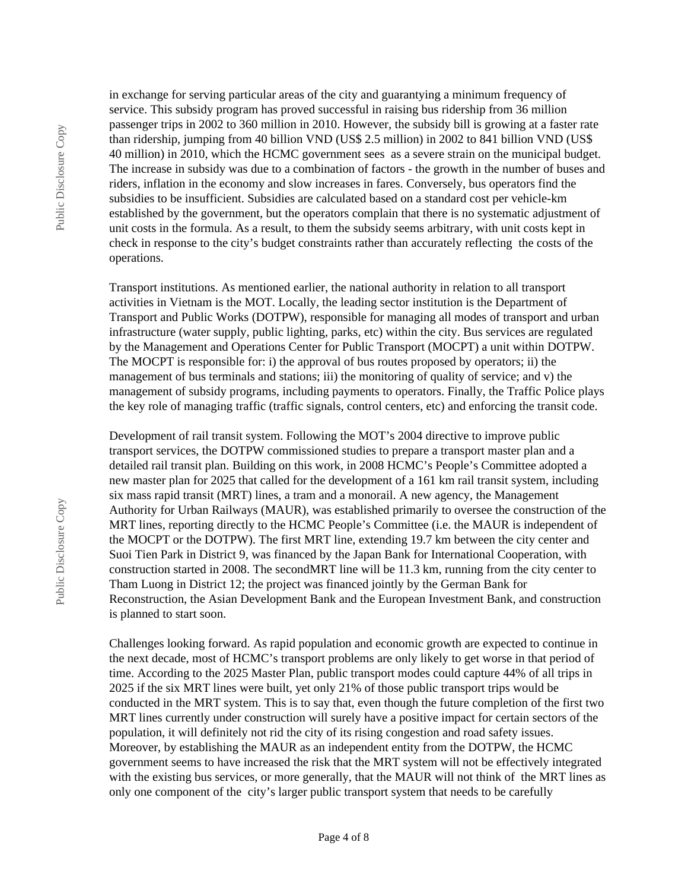Public Disclosure Copy Public Disclosure Copy in exchange for serving particular areas of the city and guarantying a minimum frequency of service. This subsidy program has proved successful in raising bus ridership from 36 million passenger trips in 2002 to 360 million in 2010. However, the subsidy bill is growing at a faster rate than ridership, jumping from 40 billion VND (US\$ 2.5 million) in 2002 to 841 billion VND (US\$ 40 million) in 2010, which the HCMC government sees as a severe strain on the municipal budget. The increase in subsidy was due to a combination of factors - the growth in the number of buses and riders, inflation in the economy and slow increases in fares. Conversely, bus operators find the subsidies to be insufficient. Subsidies are calculated based on a standard cost per vehicle-km established by the government, but the operators complain that there is no systematic adjustment of unit costs in the formula. As a result, to them the subsidy seems arbitrary, with unit costs kept in check in response to the city's budget constraints rather than accurately reflecting the costs of the operations.

Transport institutions. As mentioned earlier, the national authority in relation to all transport activities in Vietnam is the MOT. Locally, the leading sector institution is the Department of Transport and Public Works (DOTPW), responsible for managing all modes of transport and urban infrastructure (water supply, public lighting, parks, etc) within the city. Bus services are regulated by the Management and Operations Center for Public Transport (MOCPT) a unit within DOTPW. The MOCPT is responsible for: i) the approval of bus routes proposed by operators; ii) the management of bus terminals and stations; iii) the monitoring of quality of service; and v) the management of subsidy programs, including payments to operators. Finally, the Traffic Police plays the key role of managing traffic (traffic signals, control centers, etc) and enforcing the transit code.

Development of rail transit system. Following the MOT's 2004 directive to improve public transport services, the DOTPW commissioned studies to prepare a transport master plan and a detailed rail transit plan. Building on this work, in 2008 HCMC's People's Committee adopted a new master plan for 2025 that called for the development of a 161 km rail transit system, including six mass rapid transit (MRT) lines, a tram and a monorail. A new agency, the Management Authority for Urban Railways (MAUR), was established primarily to oversee the construction of the MRT lines, reporting directly to the HCMC People's Committee (i.e. the MAUR is independent of the MOCPT or the DOTPW). The first MRT line, extending 19.7 km between the city center and Suoi Tien Park in District 9, was financed by the Japan Bank for International Cooperation, with construction started in 2008. The secondMRT line will be 11.3 km, running from the city center to Tham Luong in District 12; the project was financed jointly by the German Bank for Reconstruction, the Asian Development Bank and the European Investment Bank, and construction is planned to start soon.

Challenges looking forward. As rapid population and economic growth are expected to continue in the next decade, most of HCMC's transport problems are only likely to get worse in that period of time. According to the 2025 Master Plan, public transport modes could capture 44% of all trips in 2025 if the six MRT lines were built, yet only 21% of those public transport trips would be conducted in the MRT system. This is to say that, even though the future completion of the first two MRT lines currently under construction will surely have a positive impact for certain sectors of the population, it will definitely not rid the city of its rising congestion and road safety issues. Moreover, by establishing the MAUR as an independent entity from the DOTPW, the HCMC government seems to have increased the risk that the MRT system will not be effectively integrated with the existing bus services, or more generally, that the MAUR will not think of the MRT lines as only one component of the city's larger public transport system that needs to be carefully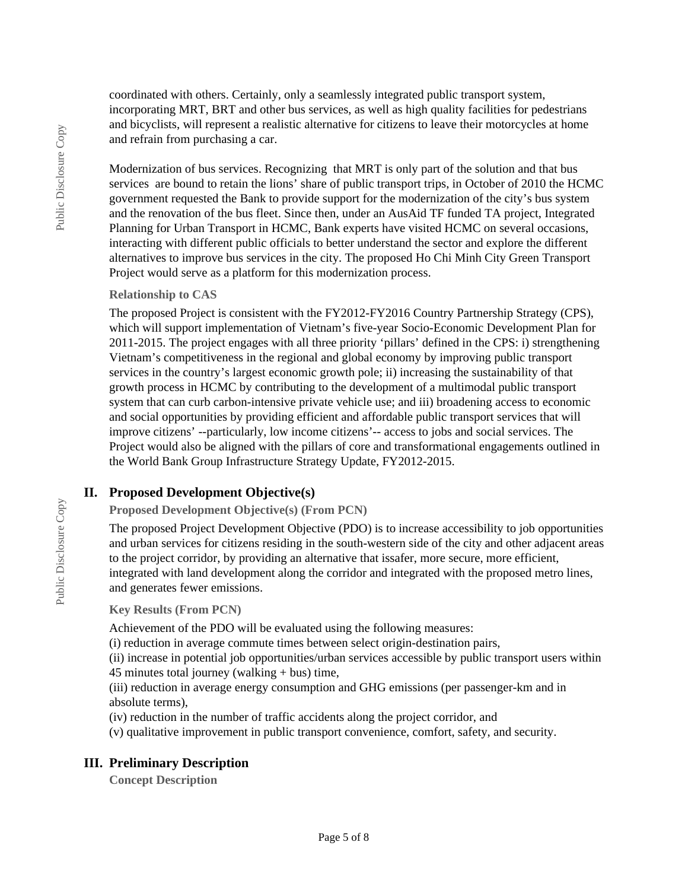coordinated with others. Certainly, only a seamlessly integrated public transport system, incorporating MRT, BRT and other bus services, as well as high quality facilities for pedestrians and bicyclists, will represent a realistic alternative for citizens to leave their motorcycles at home and refrain from purchasing a car.

Modernization of bus services. Recognizing that MRT is only part of the solution and that bus services are bound to retain the lions' share of public transport trips, in October of 2010 the HCMC government requested the Bank to provide support for the modernization of the city's bus system and the renovation of the bus fleet. Since then, under an AusAid TF funded TA project, Integrated Planning for Urban Transport in HCMC, Bank experts have visited HCMC on several occasions, interacting with different public officials to better understand the sector and explore the different alternatives to improve bus services in the city. The proposed Ho Chi Minh City Green Transport Project would serve as a platform for this modernization process.

#### **Relationship to CAS**

The proposed Project is consistent with the FY2012-FY2016 Country Partnership Strategy (CPS), which will support implementation of Vietnam's five-year Socio-Economic Development Plan for 2011-2015. The project engages with all three priority 'pillars' defined in the CPS: i) strengthening Vietnam's competitiveness in the regional and global economy by improving public transport services in the country's largest economic growth pole; ii) increasing the sustainability of that growth process in HCMC by contributing to the development of a multimodal public transport system that can curb carbon-intensive private vehicle use; and iii) broadening access to economic and social opportunities by providing efficient and affordable public transport services that will improve citizens' --particularly, low income citizens'-- access to jobs and social services. The Project would also be aligned with the pillars of core and transformational engagements outlined in the World Bank Group Infrastructure Strategy Update, FY2012-2015.

## **II. Proposed Development Objective(s)**

**Proposed Development Objective(s) (From PCN)**

The proposed Project Development Objective (PDO) is to increase accessibility to job opportunities and urban services for citizens residing in the south-western side of the city and other adjacent areas to the project corridor, by providing an alternative that issafer, more secure, more efficient, integrated with land development along the corridor and integrated with the proposed metro lines, and generates fewer emissions.

**Key Results (From PCN)**

Achievement of the PDO will be evaluated using the following measures:

(i) reduction in average commute times between select origin-destination pairs,

(ii) increase in potential job opportunities/urban services accessible by public transport users within 45 minutes total journey (walking + bus) time,

(iii) reduction in average energy consumption and GHG emissions (per passenger-km and in absolute terms),

(iv) reduction in the number of traffic accidents along the project corridor, and

(v) qualitative improvement in public transport convenience, comfort, safety, and security.

## **III. Preliminary Description**

**Concept Description**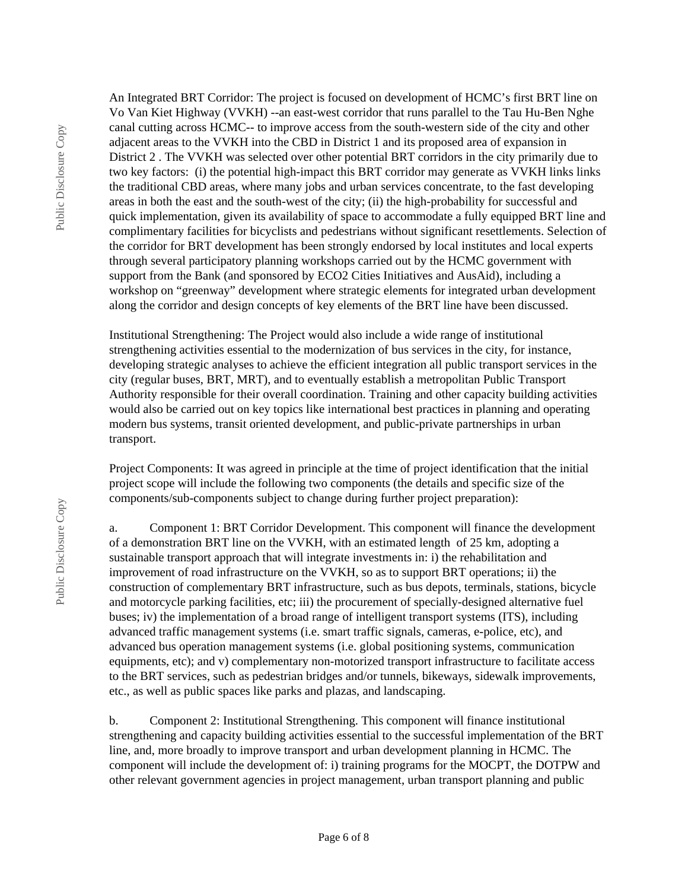Public Disclosure Copy Public Disclosure Copy An Integrated BRT Corridor: The project is focused on development of HCMC's first BRT line on Vo Van Kiet Highway (VVKH) --an east-west corridor that runs parallel to the Tau Hu-Ben Nghe canal cutting across HCMC-- to improve access from the south-western side of the city and other adjacent areas to the VVKH into the CBD in District 1 and its proposed area of expansion in District 2 . The VVKH was selected over other potential BRT corridors in the city primarily due to two key factors: (i) the potential high-impact this BRT corridor may generate as VVKH links links the traditional CBD areas, where many jobs and urban services concentrate, to the fast developing areas in both the east and the south-west of the city; (ii) the high-probability for successful and quick implementation, given its availability of space to accommodate a fully equipped BRT line and complimentary facilities for bicyclists and pedestrians without significant resettlements. Selection of the corridor for BRT development has been strongly endorsed by local institutes and local experts through several participatory planning workshops carried out by the HCMC government with support from the Bank (and sponsored by ECO2 Cities Initiatives and AusAid), including a workshop on "greenway" development where strategic elements for integrated urban development along the corridor and design concepts of key elements of the BRT line have been discussed.

Institutional Strengthening: The Project would also include a wide range of institutional strengthening activities essential to the modernization of bus services in the city, for instance, developing strategic analyses to achieve the efficient integration all public transport services in the city (regular buses, BRT, MRT), and to eventually establish a metropolitan Public Transport Authority responsible for their overall coordination. Training and other capacity building activities would also be carried out on key topics like international best practices in planning and operating modern bus systems, transit oriented development, and public-private partnerships in urban transport.

Project Components: It was agreed in principle at the time of project identification that the initial project scope will include the following two components (the details and specific size of the components/sub-components subject to change during further project preparation):

a. Component 1: BRT Corridor Development. This component will finance the development of a demonstration BRT line on the VVKH, with an estimated length of 25 km, adopting a sustainable transport approach that will integrate investments in: i) the rehabilitation and improvement of road infrastructure on the VVKH, so as to support BRT operations; ii) the construction of complementary BRT infrastructure, such as bus depots, terminals, stations, bicycle and motorcycle parking facilities, etc; iii) the procurement of specially-designed alternative fuel buses; iv) the implementation of a broad range of intelligent transport systems (ITS), including advanced traffic management systems (i.e. smart traffic signals, cameras, e-police, etc), and advanced bus operation management systems (i.e. global positioning systems, communication equipments, etc); and v) complementary non-motorized transport infrastructure to facilitate access to the BRT services, such as pedestrian bridges and/or tunnels, bikeways, sidewalk improvements, etc., as well as public spaces like parks and plazas, and landscaping.

b. Component 2: Institutional Strengthening. This component will finance institutional strengthening and capacity building activities essential to the successful implementation of the BRT line, and, more broadly to improve transport and urban development planning in HCMC. The component will include the development of: i) training programs for the MOCPT, the DOTPW and other relevant government agencies in project management, urban transport planning and public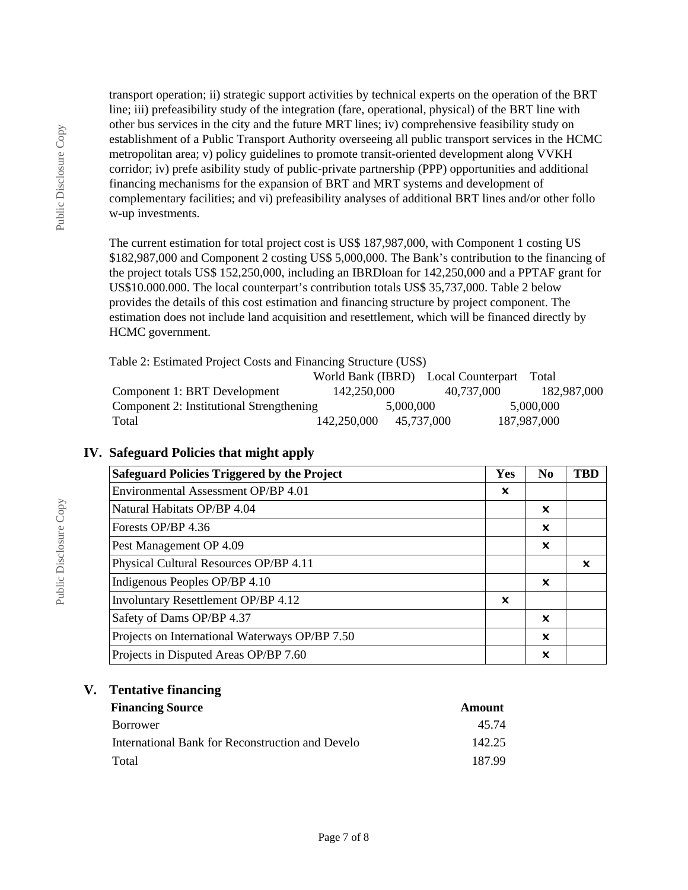transport operation; ii) strategic support activities by technical experts on the operation of the BRT line; iii) prefeasibility study of the integration (fare, operational, physical) of the BRT line with other bus services in the city and the future MRT lines; iv) comprehensive feasibility study on establishment of a Public Transport Authority overseeing all public transport services in the HCMC metropolitan area; v) policy guidelines to promote transit-oriented development along VVKH corridor; iv) prefe asibility study of public-private partnership (PPP) opportunities and additional financing mechanisms for the expansion of BRT and MRT systems and development of complementary facilities; and vi) prefeasibility analyses of additional BRT lines and/or other follo w-up investments.

The current estimation for total project cost is US\$ 187,987,000, with Component 1 costing US \$182,987,000 and Component 2 costing US\$ 5,000,000. The Bank's contribution to the financing of the project totals US\$ 152,250,000, including an IBRDloan for 142,250,000 and a PPTAF grant for US\$10.000.000. The local counterpart's contribution totals US\$ 35,737,000. Table 2 below provides the details of this cost estimation and financing structure by project component. The estimation does not include land acquisition and resettlement, which will be financed directly by HCMC government.

Table 2: Estimated Project Costs and Financing Structure (US\$)

|                                          |             |            | World Bank (IBRD) Local Counterpart | Total       |
|------------------------------------------|-------------|------------|-------------------------------------|-------------|
| Component 1: BRT Development             | 142.250.000 |            | 40.737.000                          | 182.987.000 |
| Component 2: Institutional Strengthening |             | 5,000,000  |                                     | 5.000,000   |
| Total                                    | 142,250,000 | 45.737.000 |                                     | 187,987,000 |

## **IV. Safeguard Policies that might apply**

| <b>Safeguard Policies Triggered by the Project</b> | Yes                       | N <sub>0</sub>            | <b>TBD</b> |
|----------------------------------------------------|---------------------------|---------------------------|------------|
| Environmental Assessment OP/BP 4.01                | ×                         |                           |            |
| Natural Habitats OP/BP 4.04                        |                           | x                         |            |
| Forests OP/BP 4.36                                 |                           | x                         |            |
| Pest Management OP 4.09                            |                           | x                         |            |
| Physical Cultural Resources OP/BP 4.11             |                           |                           | ×          |
| Indigenous Peoples OP/BP 4.10                      |                           | ×                         |            |
| Involuntary Resettlement OP/BP 4.12                | $\boldsymbol{\mathsf{x}}$ |                           |            |
| Safety of Dams OP/BP 4.37                          |                           | $\boldsymbol{\mathsf{x}}$ |            |
| Projects on International Waterways OP/BP 7.50     |                           | $\boldsymbol{\mathsf{x}}$ |            |
| Projects in Disputed Areas OP/BP 7.60              |                           | x                         |            |

## **V. Tentative financing**

| <b>Financing Source</b>                          | Amount |
|--------------------------------------------------|--------|
| Borrower                                         | 45 74  |
| International Bank for Reconstruction and Develo | 142.25 |
| Total                                            | 187.99 |